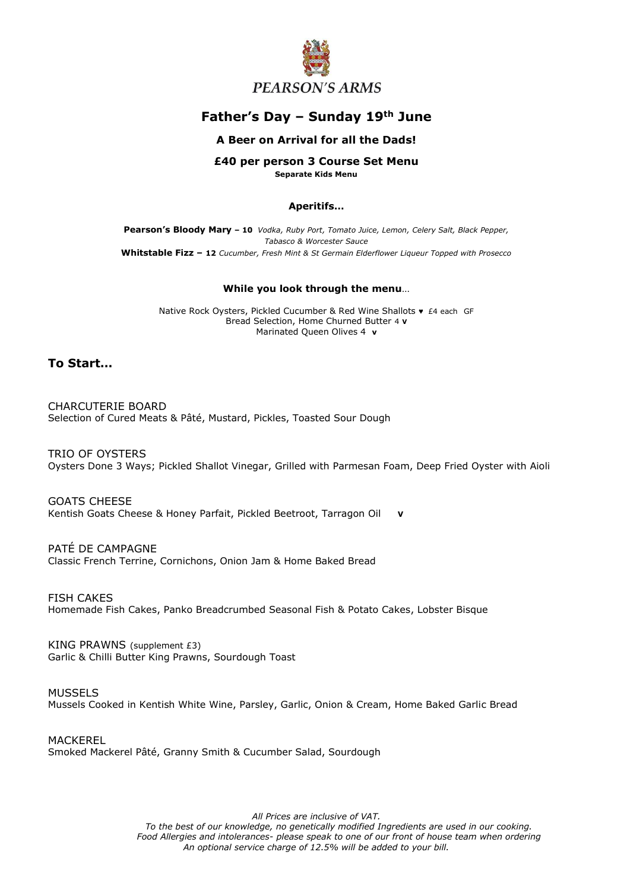

# **Father's Day – Sunday 19th June**

## **A Beer on Arrival for all the Dads!**

# **£40 per person 3 Course Set Menu**

**Separate Kids Menu**

#### **Aperitifs…**

**Pearson's Bloody Mary – 10** *Vodka, Ruby Port, Tomato Juice, Lemon, Celery Salt, Black Pepper, Tabasco & Worcester Sauce* **Whitstable Fizz – 12** *Cucumber, Fresh Mint & St Germain Elderflower Liqueur Topped with Prosecco*

### **While you look through the menu**…

Native Rock Oysters, Pickled Cucumber & Red Wine Shallots ♥ £4 each GF Bread Selection, Home Churned Butter 4 **V** Marinated Queen Olives 4 **v**

# **To Start…**

CHARCUTERIE BOARD Selection of Cured Meats & Pâté, Mustard, Pickles, Toasted Sour Dough

TRIO OF OYSTERS Oysters Done 3 Ways; Pickled Shallot Vinegar, Grilled with Parmesan Foam, Deep Fried Oyster with Aioli

GOATS CHEESE Kentish Goats Cheese & Honey Parfait, Pickled Beetroot, Tarragon Oil **V**

PATÉ DE CAMPAGNE Classic French Terrine, Cornichons, Onion Jam & Home Baked Bread

FISH CAKES Homemade Fish Cakes, Panko Breadcrumbed Seasonal Fish & Potato Cakes, Lobster Bisque

KING PRAWNS (supplement £3) Garlic & Chilli Butter King Prawns, Sourdough Toast

MUSSELS Mussels Cooked in Kentish White Wine, Parsley, Garlic, Onion & Cream, Home Baked Garlic Bread

MACKEREL Smoked Mackerel Pâté, Granny Smith & Cucumber Salad, Sourdough

*All Prices are inclusive of VAT.*

*To the best of our knowledge, no genetically modified Ingredients are used in our cooking. Food Allergies and intolerances- please speak to one of our front of house team when ordering An optional service charge of 12.5% will be added to your bill.*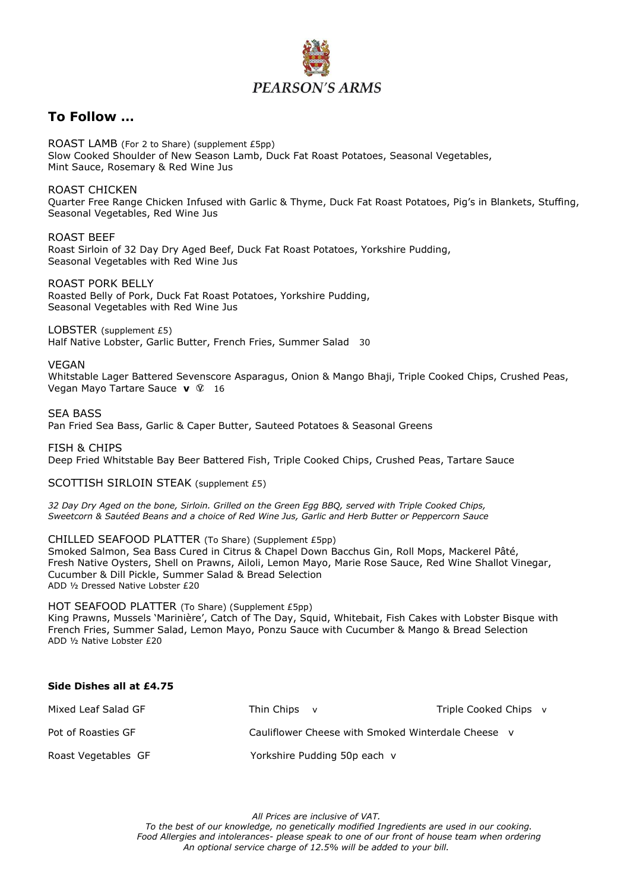

# **To Follow …**

ROAST LAMB (For 2 to Share) (supplement £5pp) Slow Cooked Shoulder of New Season Lamb, Duck Fat Roast Potatoes, Seasonal Vegetables, Mint Sauce, Rosemary & Red Wine Jus

ROAST CHICKEN

Quarter Free Range Chicken Infused with Garlic & Thyme, Duck Fat Roast Potatoes, Pig's in Blankets, Stuffing, Seasonal Vegetables, Red Wine Jus

ROAST BEEF Roast Sirloin of 32 Day Dry Aged Beef, Duck Fat Roast Potatoes, Yorkshire Pudding, Seasonal Vegetables with Red Wine Jus

ROAST PORK BELLY Roasted Belly of Pork, Duck Fat Roast Potatoes, Yorkshire Pudding, Seasonal Vegetables with Red Wine Jus

LOBSTER (supplement £5) Half Native Lobster, Garlic Butter, French Fries, Summer Salad 30

VEGAN

Whitstable Lager Battered Sevenscore Asparagus, Onion & Mango Bhaji, Triple Cooked Chips, Crushed Peas, Vegan Mayo Tartare Sauce **v** 16

SEA BASS

Pan Fried Sea Bass, Garlic & Caper Butter, Sauteed Potatoes & Seasonal Greens

FISH & CHIPS Deep Fried Whitstable Bay Beer Battered Fish, Triple Cooked Chips, Crushed Peas, Tartare Sauce

SCOTTISH SIRLOIN STEAK (supplement £5)

*32 Day Dry Aged on the bone, Sirloin. Grilled on the Green Egg BBQ, served with Triple Cooked Chips, Sweetcorn & Sautéed Beans and a choice of Red Wine Jus, Garlic and Herb Butter or Peppercorn Sauce*

CHILLED SEAFOOD PLATTER (To Share) (Supplement £5pp) Smoked Salmon, Sea Bass Cured in Citrus & Chapel Down Bacchus Gin, Roll Mops, Mackerel Pâté, Fresh Native Oysters, Shell on Prawns, Ailoli, Lemon Mayo, Marie Rose Sauce, Red Wine Shallot Vinegar, Cucumber & Dill Pickle, Summer Salad & Bread Selection ADD ½ Dressed Native Lobster £20

HOT SEAFOOD PLATTER (To Share) (Supplement £5pp)

King Prawns, Mussels 'Marinière', Catch of The Day, Squid, Whitebait, Fish Cakes with Lobster Bisque with French Fries, Summer Salad, Lemon Mayo, Ponzu Sauce with Cucumber & Mango & Bread Selection ADD ½ Native Lobster £20

# **Side Dishes all at £4.75**

| Mixed Leaf Salad GF | Thin Chips v                                       | Triple Cooked Chips v |
|---------------------|----------------------------------------------------|-----------------------|
| Pot of Roasties GF  | Cauliflower Cheese with Smoked Winterdale Cheese v |                       |
| Roast Vegetables GF | Yorkshire Pudding 50p each v                       |                       |

*All Prices are inclusive of VAT.*

*To the best of our knowledge, no genetically modified Ingredients are used in our cooking. Food Allergies and intolerances- please speak to one of our front of house team when ordering An optional service charge of 12.5% will be added to your bill.*